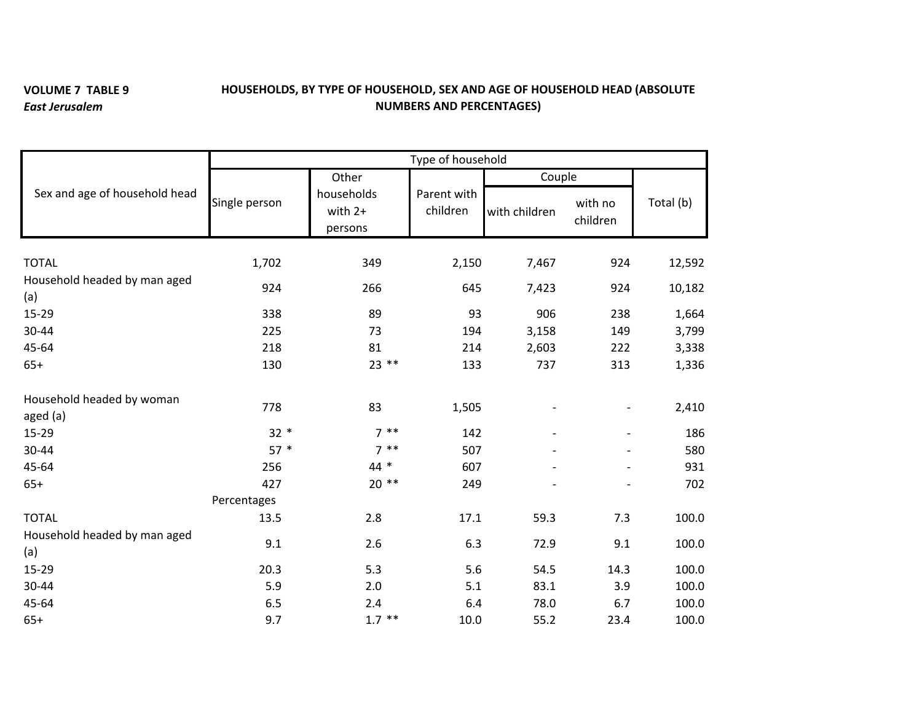## **VOLUME 7 TABLE 9** *East Jerusalem*

## **HOUSEHOLDS, BY TYPE OF HOUSEHOLD, SEX AND AGE OF HOUSEHOLD HEAD (ABSOLUTE NUMBERS AND PERCENTAGES)**

|                                       | Type of household |                                  |                         |               |                     |           |  |  |  |
|---------------------------------------|-------------------|----------------------------------|-------------------------|---------------|---------------------|-----------|--|--|--|
| Sex and age of household head         |                   | Other                            |                         | Couple        |                     |           |  |  |  |
|                                       | Single person     | households<br>with 2+<br>persons | Parent with<br>children | with children | with no<br>children | Total (b) |  |  |  |
| <b>TOTAL</b>                          | 1,702             | 349                              | 2,150                   | 7,467         | 924                 | 12,592    |  |  |  |
| Household headed by man aged<br>(a)   | 924               | 266                              | 645                     | 7,423         | 924                 | 10,182    |  |  |  |
| 15-29                                 | 338               | 89                               | 93                      | 906           | 238                 | 1,664     |  |  |  |
| 30-44                                 | 225               | 73                               | 194                     | 3,158         | 149                 | 3,799     |  |  |  |
| 45-64                                 | 218               | 81                               | 214                     | 2,603         | 222                 | 3,338     |  |  |  |
| $65+$                                 | 130               | $23$ **                          | 133                     | 737           | 313                 | 1,336     |  |  |  |
| Household headed by woman<br>aged (a) | 778               | 83                               | 1,505                   |               |                     | 2,410     |  |  |  |
| $15 - 29$                             | $32 *$            | $7 * *$                          | 142                     |               |                     | 186       |  |  |  |
| 30-44                                 | $57*$             | $7 * *$                          | 507                     |               |                     | 580       |  |  |  |
| 45-64                                 | 256               | $44 *$                           | 607                     |               |                     | 931       |  |  |  |
| $65+$                                 | 427               | $20**$                           | 249                     |               |                     | 702       |  |  |  |
|                                       | Percentages       |                                  |                         |               |                     |           |  |  |  |
| <b>TOTAL</b>                          | 13.5              | 2.8                              | 17.1                    | 59.3          | 7.3                 | 100.0     |  |  |  |
| Household headed by man aged<br>(a)   | 9.1               | 2.6                              | 6.3                     | 72.9          | 9.1                 | 100.0     |  |  |  |
| 15-29                                 | 20.3              | 5.3                              | 5.6                     | 54.5          | 14.3                | 100.0     |  |  |  |
| 30-44                                 | 5.9               | 2.0                              | 5.1                     | 83.1          | 3.9                 | 100.0     |  |  |  |
| 45-64                                 | 6.5               | 2.4                              | 6.4                     | 78.0          | 6.7                 | 100.0     |  |  |  |
| $65+$                                 | 9.7               | $1.7$ **                         | 10.0                    | 55.2          | 23.4                | 100.0     |  |  |  |